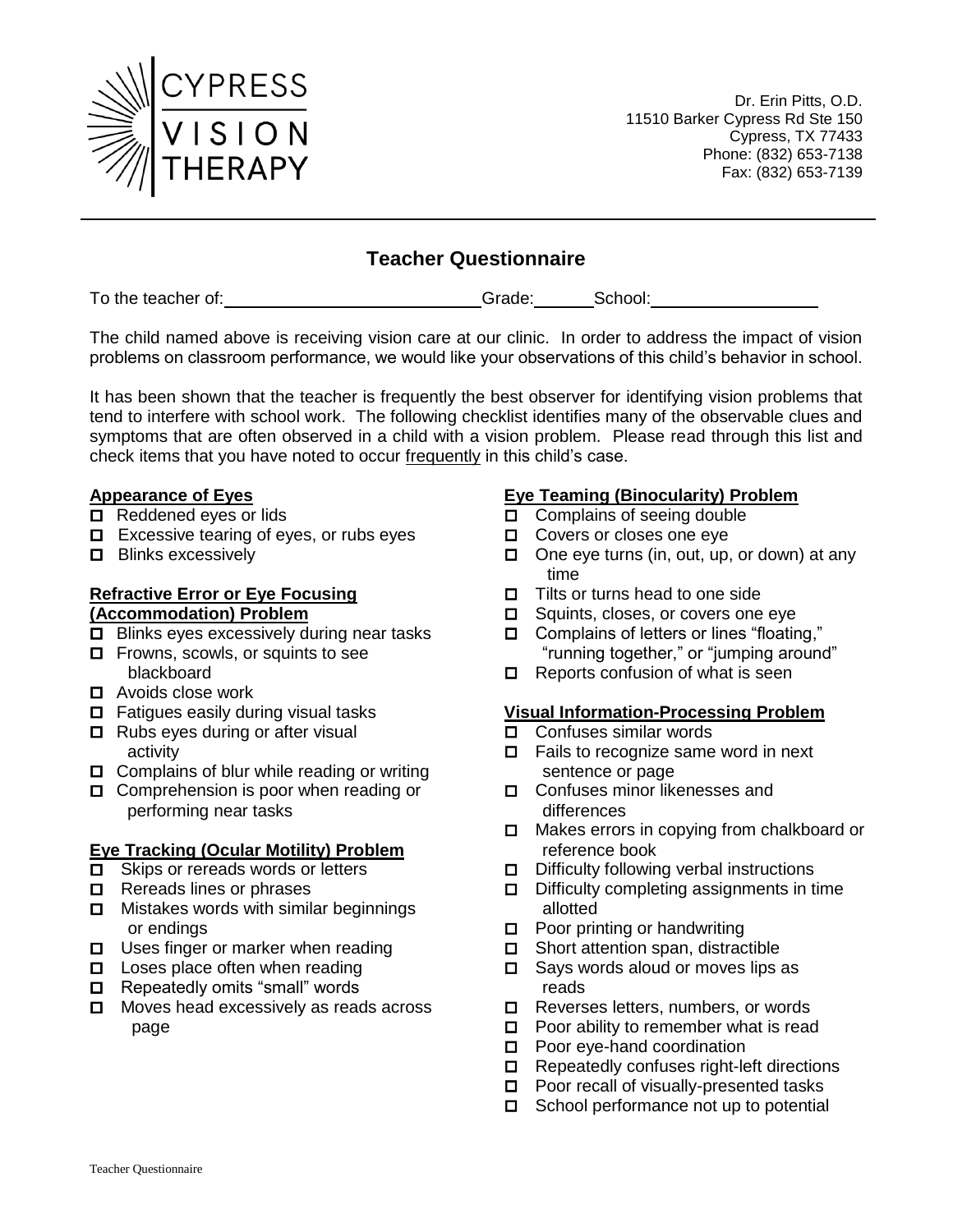

Dr. Erin Pitts, O.D. 11510 Barker Cypress Rd Ste 150 Cypress, TX 77433 Phone: (832) 653-7138 Fax: (832) 653-7139

# **Teacher Questionnaire**

To the teacher of: To the teacher of: To the teacher of: Grade: School: School:

The child named above is receiving vision care at our clinic. In order to address the impact of vision problems on classroom performance, we would like your observations of this child's behavior in school.

It has been shown that the teacher is frequently the best observer for identifying vision problems that tend to interfere with school work. The following checklist identifies many of the observable clues and symptoms that are often observed in a child with a vision problem. Please read through this list and check items that you have noted to occur frequently in this child's case.

### **Appearance of Eyes**

- □ Reddened eyes or lids
- $\Box$  Excessive tearing of eyes, or rubs eyes
- $\Box$  Blinks excessively

### **Refractive Error or Eye Focusing (Accommodation) Problem**

- $\Box$  Blinks eyes excessively during near tasks
- $\Box$  Frowns, scowls, or squints to see blackboard
- Avoids close work
- $\Box$  Fatigues easily during visual tasks
- □ Rubs eyes during or after visual activity
- Complains of blur while reading or writing
- Comprehension is poor when reading or performing near tasks

## **Eye Tracking (Ocular Motility) Problem**

- $\Box$  Skips or rereads words or letters
- $\Box$  Rereads lines or phrases
- Mistakes words with similar beginnings or endings
- □ Uses finger or marker when reading
- □ Loses place often when reading
- Repeatedly omits "small" words
- □ Moves head excessively as reads across page

### **Eye Teaming (Binocularity) Problem**

- □ Complains of seeing double
- □ Covers or closes one eye
- One eye turns (in, out, up, or down) at any time
- Tilts or turns head to one side
- □ Squints, closes, or covers one eye
- Complains of letters or lines "floating," "running together," or "jumping around"
- $\Box$  Reports confusion of what is seen

### **Visual Information-Processing Problem**

- Confuses similar words
- $\Box$  Fails to recognize same word in next sentence or page
- Confuses minor likenesses and differences
- Makes errors in copying from chalkboard or reference book
- Difficulty following verbal instructions
- Difficulty completing assignments in time allotted
- Poor printing or handwriting
- Short attention span, distractible
- Says words aloud or moves lips as reads
- $\Box$  Reverses letters, numbers, or words
- $\Box$  Poor ability to remember what is read
- $\Box$  Poor eve-hand coordination
- Repeatedly confuses right-left directions
- $\Box$  Poor recall of visually-presented tasks
- School performance not up to potential